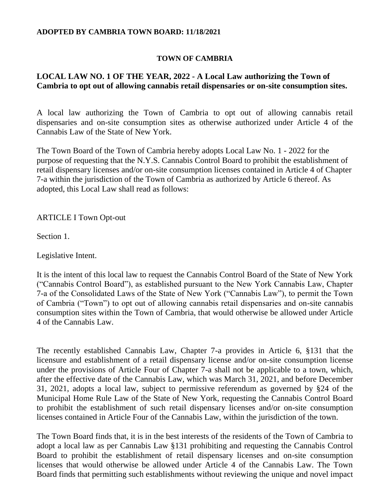## **ADOPTED BY CAMBRIA TOWN BOARD: 11/18/2021**

## **TOWN OF CAMBRIA**

## **LOCAL LAW NO. 1 OF THE YEAR, 2022 - A Local Law authorizing the Town of Cambria to opt out of allowing cannabis retail dispensaries or on-site consumption sites.**

A local law authorizing the Town of Cambria to opt out of allowing cannabis retail dispensaries and on-site consumption sites as otherwise authorized under Article 4 of the Cannabis Law of the State of New York.

The Town Board of the Town of Cambria hereby adopts Local Law No. 1 - 2022 for the purpose of requesting that the N.Y.S. Cannabis Control Board to prohibit the establishment of retail dispensary licenses and/or on-site consumption licenses contained in Article 4 of Chapter 7-a within the jurisdiction of the Town of Cambria as authorized by Article 6 thereof. As adopted, this Local Law shall read as follows:

ARTICLE I Town Opt-out

Section 1.

Legislative Intent.

It is the intent of this local law to request the Cannabis Control Board of the State of New York ("Cannabis Control Board"), as established pursuant to the New York Cannabis Law, Chapter 7-a of the Consolidated Laws of the State of New York ("Cannabis Law"), to permit the Town of Cambria ("Town") to opt out of allowing cannabis retail dispensaries and on-site cannabis consumption sites within the Town of Cambria, that would otherwise be allowed under Article 4 of the Cannabis Law.

The recently established Cannabis Law, Chapter 7-a provides in Article 6, §131 that the licensure and establishment of a retail dispensary license and/or on-site consumption license under the provisions of Article Four of Chapter 7-a shall not be applicable to a town, which, after the effective date of the Cannabis Law, which was March 31, 2021, and before December 31, 2021, adopts a local law, subject to permissive referendum as governed by §24 of the Municipal Home Rule Law of the State of New York, requesting the Cannabis Control Board to prohibit the establishment of such retail dispensary licenses and/or on-site consumption licenses contained in Article Four of the Cannabis Law, within the jurisdiction of the town.

The Town Board finds that, it is in the best interests of the residents of the Town of Cambria to adopt a local law as per Cannabis Law §131 prohibiting and requesting the Cannabis Control Board to prohibit the establishment of retail dispensary licenses and on-site consumption licenses that would otherwise be allowed under Article 4 of the Cannabis Law. The Town Board finds that permitting such establishments without reviewing the unique and novel impact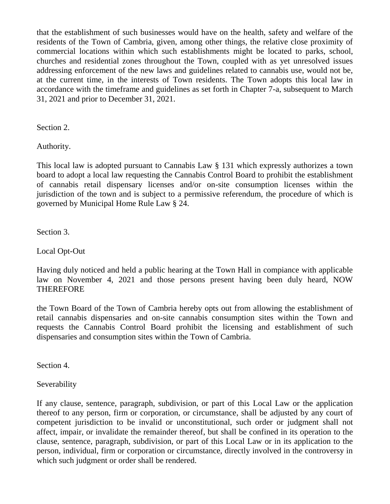that the establishment of such businesses would have on the health, safety and welfare of the residents of the Town of Cambria, given, among other things, the relative close proximity of commercial locations within which such establishments might be located to parks, school, churches and residential zones throughout the Town, coupled with as yet unresolved issues addressing enforcement of the new laws and guidelines related to cannabis use, would not be, at the current time, in the interests of Town residents. The Town adopts this local law in accordance with the timeframe and guidelines as set forth in Chapter 7-a, subsequent to March 31, 2021 and prior to December 31, 2021.

Section 2.

Authority.

This local law is adopted pursuant to Cannabis Law § 131 which expressly authorizes a town board to adopt a local law requesting the Cannabis Control Board to prohibit the establishment of cannabis retail dispensary licenses and/or on-site consumption licenses within the jurisdiction of the town and is subject to a permissive referendum, the procedure of which is governed by Municipal Home Rule Law § 24.

Section 3.

Local Opt-Out

Having duly noticed and held a public hearing at the Town Hall in compiance with applicable law on November 4, 2021 and those persons present having been duly heard, NOW **THEREFORE** 

the Town Board of the Town of Cambria hereby opts out from allowing the establishment of retail cannabis dispensaries and on-site cannabis consumption sites within the Town and requests the Cannabis Control Board prohibit the licensing and establishment of such dispensaries and consumption sites within the Town of Cambria.

Section 4.

Severability

If any clause, sentence, paragraph, subdivision, or part of this Local Law or the application thereof to any person, firm or corporation, or circumstance, shall be adjusted by any court of competent jurisdiction to be invalid or unconstitutional, such order or judgment shall not affect, impair, or invalidate the remainder thereof, but shall be confined in its operation to the clause, sentence, paragraph, subdivision, or part of this Local Law or in its application to the person, individual, firm or corporation or circumstance, directly involved in the controversy in which such judgment or order shall be rendered.